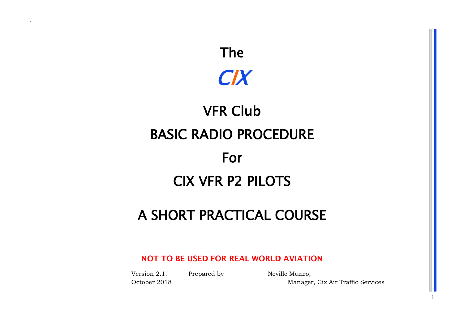

# VFR Club BASIC RADIO PROCEDURE For CIX VFR P2 PILOTS

## A SHORT PRACTICAL COURSE

## **NOT TO BE USED FOR REAL WORLD AVIATION**

Version 2.1. Prepared by Neville Munro,

`

October 2018 Manager, Cix Air Traffic Services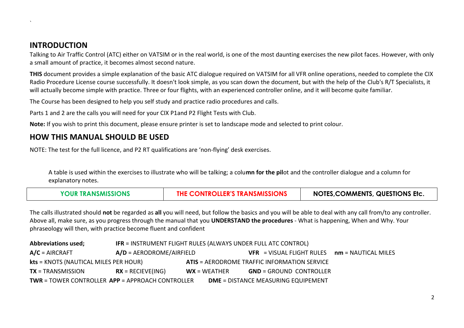## **INTRODUCTION**

`

Talking to Air Traffic Control (ATC) either on VATSIM or in the real world, is one of the most daunting exercises the new pilot faces. However, with only a small amount of practice, it becomes almost second nature.

**THIS** document provides a simple explanation of the basic ATC dialogue required on VATSIM for all VFR online operations, needed to complete the CIX Radio Procedure License course successfully. It doesn't look simple, as you scan down the document, but with the help of the Club's R/T Specialists, it will actually become simple with practice. Three or four flights, with an experienced controller online, and it will become quite familiar.

The Course has been designed to help you self study and practice radio procedures and calls.

Parts 1 and 2 are the calls you will need for your CIX P1and P2 Flight Tests with Club.

**Note:** If you wish to print this document, please ensure printer is set to landscape mode and selected to print colour.

## **HOW THIS MANUAL SHOULD BE USED**

NOTE: The test for the full licence, and P2 RT qualifications are 'non-flying' desk exercises.

A table is used within the exercises to illustrate who will be talking; a colu**mn for the pil**ot and the controller dialogue and a column for explanatory notes.

| <b>YOUR TRANSMISSIONS</b> | THE CONTROLLER'S TRANSMISSIONS | <b>NOTES, COMMENTS, QUESTIONS Etc.</b> |
|---------------------------|--------------------------------|----------------------------------------|
|---------------------------|--------------------------------|----------------------------------------|

The calls illustrated should **not** be regarded as **all** you will need, but follow the basics and you will be able to deal with any call from/to any controller. Above all, make sure, as you progress through the manual that you **UNDERSTAND the procedures** - What is happening, When and Why. Your phraseology will then, with practice become fluent and confident

| <b>Abbreviations used;</b>                              | IFR = INSTRUMENT FLIGHT RULES (ALWAYS UNDER FULL ATC CONTROL) |                |                                                     |  |
|---------------------------------------------------------|---------------------------------------------------------------|----------------|-----------------------------------------------------|--|
| $A/C = AIRCRAFT$                                        | $A/D = AERODROME/AIRFIELD$                                    |                | $VFR$ = VISUAL FLIGHT RULES $nm$ = NAUTICAL MILES   |  |
| kts = KNOTS (NAUTICAL MILES PER HOUR)                   |                                                               |                | <b>ATIS = AERODROME TRAFFIC INFORMATION SERVICE</b> |  |
| $TX = TRANSMISSION$                                     | $\mathsf{RX} = \mathsf{RECIEVE}(\mathsf{ING})$                | $WX = WEATHER$ | <b>GND</b> = GROUND CONTROLLER                      |  |
| <b>TWR = TOWER CONTROLLER APP = APPROACH CONTROLLER</b> |                                                               |                | <b>DME</b> = DISTANCE MEASURING EQUIPEMENT          |  |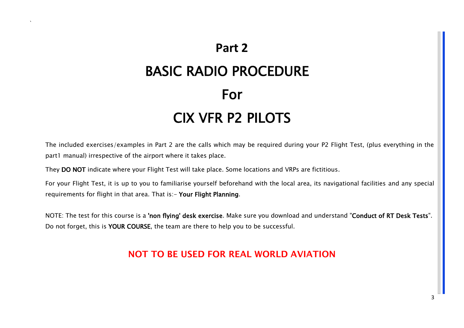## **Part 2** BASIC RADIO PROCEDURE For CIX VFR P2 PILOTS

The included exercises/examples in Part 2 are the calls which may be required during your P2 Flight Test, (plus everything in the part1 manual) irrespective of the airport where it takes place.

They DO NOT indicate where your Flight Test will take place. Some locations and VRPs are fictitious.

`

For your Flight Test, it is up to you to familiarise yourself beforehand with the local area, its navigational facilities and any special requirements for flight in that area. That is:- Your Flight Planning.

NOTE: The test for this course is a 'non flying' desk exercise. Make sure you download and understand "Conduct of RT Desk Tests". Do not forget, this is YOUR COURSE, the team are there to help you to be successful.

## **NOT TO BE USED FOR REAL WORLD AVIATION**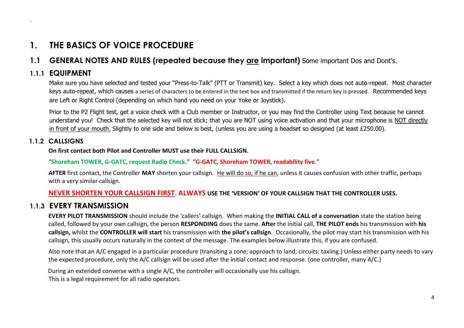## **1. THE BASICS OF VOICE PROCEDURE**

## **1.1 GENERAL NOTES AND RULES (repeated because they are important)** Some important Dos and Dont's.

## **1.1.1 EQUIPMENT**

`

Make sure you have selected and tested your "Press-to-Talk" (PTT or Transmit) key. Select a key which does not auto-repeat. Most character keys auto-repeat, which causes a series of characters to be entered in the text box and transmitted if the return key is pressed. Recommended keys are Left or Right Control (depending on which hand you need on your Yoke or Joystick).

Prior to the P2 Flight test, get a voice check with a Club member or Instructor, or you may find the Controller using Text because he cannot understand you! Check that the selected key will not stick; that you are NOT using voice activation and that your microphone is NOT directly in front of your mouth. Slightly to one side and below is best, (unless you are using a headset so designed (at least £250.00).

#### **1.1.2 CALLSIGNS**

**On first contact both Pilot and Controller MUST use their FULL CALLSIGN.**

#### "**Shoreham TOWER, G-GATC, request Radio Check.**" "**G-GATC, Shoreham TOWER, readability five**."

**AFTER** first contact, the Controller **MAY** shorten your callsign. He will do so, if he can, unless it causes confusion with other traffic, perhaps with a very similar callsign.

#### **NEVER SHORTEN YOUR CALLSIGN FIRST**. **ALWAYS USE THE 'VERSION' OF YOUR CALLSIGN THAT THE CONTROLLER USES.**

## **1.1.3 EVERY TRANSMISSION**

**EVERY PILOT TRANSMISSION** should include the 'callers' callsign. When making the **INITIAL CALL of a conversation** state the station being called, followed by your own callsign, the person **RESPONDING** does the same. **After** the initial call, **THE PILOT ends** his transmission with **his callsign,** whilst the **CONTROLLER will start** his transmission with **the pilot's callsign**. Occasionally, the pilot may start his transmission with his callsign, this usually occurs naturally in the context of the message. The examples below illustrate this, if you are confused.

Also note that an A/C engaged in a particular procedure (transiting a zone; approach to land; circuits; taxiing.) Unless either party needs to vary the expected procedure, only the A/C callsign will be used after the initial contact and response. (one controller, many A/C.)

During an extended converse with a single A/C, the controller will occasionally use his callsign.

This is a legal requirement for all radio operators.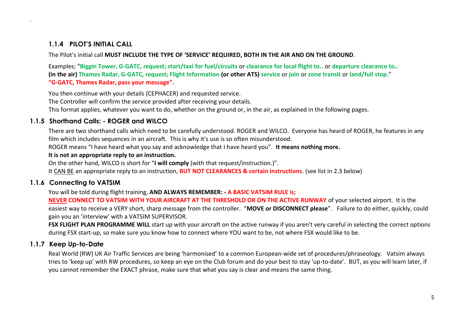#### **1.1.4 PILOT'S INITIAL CALL**

`

The Pilot's initial call **MUST INCLUDE THE TYPE OF 'SERVICE' REQUIRED, BOTH IN THE AIR AND ON THE GROUND**.

Examples; "**Biggin Tower, G-GATC, request; start/taxi for fuel/circuits** or **clearance for local flight to..** or **departure clearance to.. (in the air) Thames Radar, G-GATC, request; Flight Information (or other ATS) service** or **join** or **zone transit** or **land/full stop**." **"G-GATC, Thames Radar, pass your message".** 

You then continue with your details (CEPHACER) and requested service. The Controller will confirm the service provided after receiving your details.

This format applies, whatever you want to do, whether on the ground or, in the air, as explained in the following pages.

#### **1.1.5 Shorthand Calls: - ROGER and WILCO**

There are two shorthand calls which need to be carefully understood. ROGER and WILCO. Everyone has heard of ROGER, he features in any film which includes sequences in an aircraft. This is why it's use is so often misunderstood.

ROGER means "I have heard what you say and acknowledge that I have heard you". **It means nothing more.** 

#### **It is not an appropriate reply to an instruction.**

On the other hand, WILCO is short for "**I will comply** (with that request/instruction.)".

It CAN BE an appropriate reply to an instruction, **BUT NOT CLEARANCES & certain instructions**. (see list in 2.3 below)

#### **1.1.6 Connecting to VATSIM**

You will be told during flight training, **AND ALWAYS REMEMBER: - A BASIC VATSIM RULE is;** 

**NEVER CONNECT TO VATSIM WITH YOUR AIRCRAFT AT THE THRESHOLD OR ON THE ACTIVE RUNWAY** of your selected airport. It is the easiest way to receive a VERY short, sharp message from the controller. "**MOVE or DISCONNECT please**". Failure to do either, quickly, could gain you an 'interview' with a VATSIM SUPERVISOR.

**FSX FLIGHT PLAN PROGRAMME WILL** start up with your aircraft on the active runway if you aren't very careful in selecting the correct options during FSX start-up, so make sure you know how to connect where YOU want to be, not where FSX would like to be.

#### **1.1.7 Keep Up-to-Date**

Real World (RW) UK Air Traffic Services are being 'harmonised' to a common European-wide set of procedures/phraseology. Vatsim always tries to 'keep up' with RW procedures, so keep an eye on the Club forum and do your best to stay 'up-to-date'. BUT, as you will learn later, if you cannot remember the EXACT phrase, make sure that what you say is clear and means the same thing.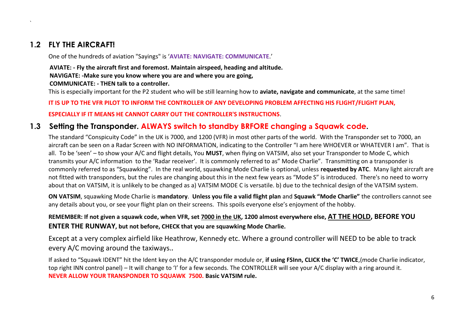## **1.2 FLY THE AIRCRAFT!**

`

One of the hundreds of aviation "Sayings" is '**AVIATE: NAVIGATE: COMMUNICATE**.'

## **AVIATE: - Fly the aircraft first and foremost. Maintain airspeed, heading and altitude. NAVIGATE: -Make sure you know where you are and where you are going,**

**COMMUNICATE: - THEN talk to a controller.**

This is especially important for the P2 student who will be still learning how to **aviate, navigate and communicate**, at the same time!

#### **IT IS UP TO THE VFR PILOT TO INFORM THE CONTROLLER OF ANY DEVELOPING PROBLEM AFFECTING HIS FLIGHT/FLIGHT PLAN,**

#### **ESPECIALLY IF IT MEANS HE CANNOT CARRY OUT THE CONTROLLER'S INSTRUCTIONS**.

## **1.3 Setting the Transponder. ALWAYS switch to standby BRFORE changing a Squawk code.**

The standard "Conspicuity Code" in the UK is 7000, and 1200 (VFR) in most other parts of the world. With the Transponder set to 7000, an aircraft can be seen on a Radar Screen with NO INFORMATION, indicating to the Controller "I am here WHOEVER or WHATEVER I am". That is all. To be 'seen' – to show your A/C and flight details, You **MUST**, when flying on VATSIM, also set your Transponder to Mode C, which transmits your A/C information to the 'Radar receiver'. It is commonly referred to as" Mode Charlie". Transmitting on a transponder is commonly referred to as "Squawking". In the real world, squawking Mode Charlie is optional, unless **requested by ATC**. Many light aircraft are not fitted with transponders, but the rules are changing about this in the next few years as "Mode S" is introduced. There's no need to worry about that on VATSIM, it is unlikely to be changed as a) VATSIM MODE C is versatile. b) due to the technical design of the VATSIM system.

**ON VATSIM**, squawking Mode Charlie is **mandatory**. **Unless you file a valid flight plan** and **Squawk "Mode Charlie"** the controllers cannot see any details about you, or see your flight plan on their screens. This spoils everyone else's enjoyment of the hobby.

#### **REMEMBER: If not given a squawk code, when VFR, set 7000 in the UK, 1200 almost everywhere else, AT THE HOLD, BEFORE YOU ENTER THE RUNWAY, but not before, CHECK that you are squawking Mode Charlie.**

Except at a very complex airfield like Heathrow, Kennedy etc. Where a ground controller will NEED to be able to track every A/C moving around the taxiways.**.**

If asked to "Squawk IDENT" hit the Ident key on the A/C transponder module or, **if using FSInn, CLICK the 'C' TWICE**,(mode Charlie indicator, top right INN control panel) – It will change to 'I' for a few seconds. The CONTROLLER will see your A/C display with a ring around it. **NEVER ALLOW YOUR TRANSPONDER TO SQUAWK 7500. Basic VATSIM rule.**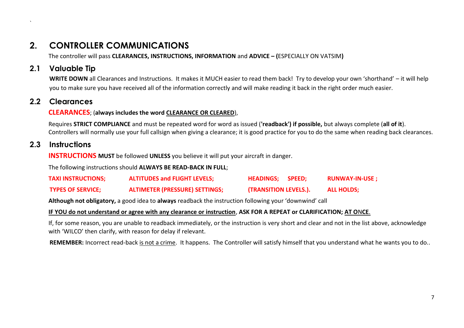## **2. CONTROLLER COMMUNICATIONS**

The controller will pass **CLEARANCES, INSTRUCTIONS, INFORMATION** and **ADVICE – (**ESPECIALLY ON VATSIM**)**

## **2.1 Valuable Tip**

`

WRITE DOWN all Clearances and Instructions. It makes it MUCH easier to read them back! Try to develop your own 'shorthand' – it will help you to make sure you have received all of the information correctly and will make reading it back in the right order much easier.

## **2.2 Clearances**

#### **CLEARANCES**; (**always includes the word CLEARANCE OR CLEARED**),

Requires **STRICT COMPLIANCE** and must be repeated word for word as issued (**'readback') if possible,** but always complete (**all of it**). Controllers will normally use your full callsign when giving a clearance; it is good practice for you to do the same when reading back clearances.

## **2.3 Instructions**

**INSTRUCTIONS** MUST be followed UNLESS you believe it will put your aircraft in danger.

The following instructions should **ALWAYS BE READ-BACK IN FULL**;

| <b>TAXI INSTRUCTIONS;</b> | <b>ALTITUDES and FLIGHT LEVELS;</b>   | HEADINGS; SPEED;             | <b>RUNWAY-IN-USE ;</b> |
|---------------------------|---------------------------------------|------------------------------|------------------------|
| <b>TYPES OF SERVICE;</b>  | <b>ALTIMETER (PRESSURE) SETTINGS;</b> | <b>(TRANSITION LEVELS.).</b> | ALL HOLDS;             |

**Although not obligatory,** a good idea to **always** readback the instruction following your 'downwind' call

#### **IF YOU do not understand or agree with any clearance or instruction**, **ASK FOR A REPEAT or CLARIFICATION; AT O**N**CE**.

If, for some reason, you are unable to readback immediately, or the instruction is very short and clear and not in the list above, acknowledge with 'WILCO' then clarify, with reason for delay if relevant.

**REMEMBER:** Incorrect read-back is not a crime. It happens. The Controller will satisfy himself that you understand what he wants you to do..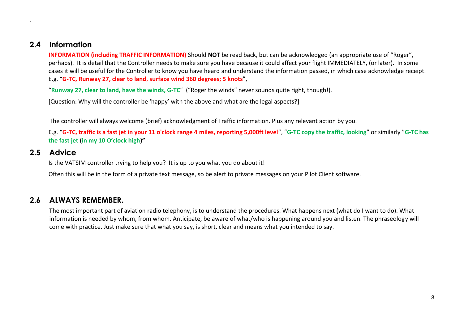## **2.4 Information**

`

**INFORMATION (including TRAFFIC INFORMATION)** Should **NOT** be read back, but can be acknowledged (an appropriate use of "Roger", perhaps). It is detail that the Controller needs to make sure you have because it could affect your flight IMMEDIATELY, (or later). In some cases it will be useful for the Controller to know you have heard and understand the information passed, in which case acknowledge receipt. E.g. "**G-TC, Runway 27, clear to land**, **surface wind 360 degrees; 5 knots**",

"**Runway 27, clear to land, have the winds, G-TC**" ("Roger the winds" never sounds quite right, though!).

[Question: Why will the controller be 'happy' with the above and what are the legal aspects?]

The controller will always welcome (brief) acknowledgment of Traffic information. Plus any relevant action by you.

E.g. "**G-TC, traffic is a fast jet in your 11 o'clock range 4 miles, reporting 5,000ft level**", "**G-TC copy the traffic, looking**" or similarly "**G-TC has the fast jet (in my 10 O'clock high)"**

## **2.5 Advice**

Is the VATSIM controller trying to help you? It is up to you what you do about it!

Often this will be in the form of a private text message, so be alert to private messages on your Pilot Client software.

## **2.6 ALWAYS REMEMBER.**

**T**he most important part of aviation radio telephony, is to understand the procedures. What happens next (what do I want to do). What information is needed by whom, from whom. Anticipate, be aware of what/who is happening around you and listen. The phraseology will come with practice. Just make sure that what you say, is short, clear and means what you intended to say.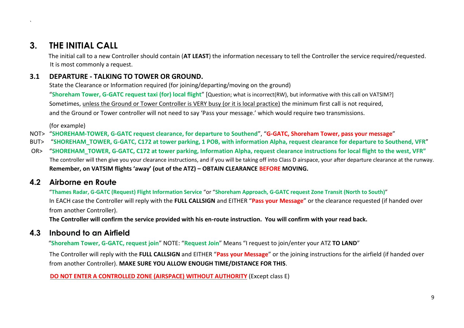`

The initial call to a new Controller should contain (**AT LEAST**) the information necessary to tell the Controller the service required/requested. It is most commonly a request.

## **3.1 DEPARTURE - TALKING TO TOWER OR GROUND.**

State the Clearance or Information required (for joining/departing/moving on the ground)

"**Shoreham Tower, G-GATC request taxi (for) local flight**" [Question; what is incorrect(RW), but informative with this call on VATSIM?] Sometimes, unless the Ground or Tower Controller is VERY busy (or it is local practice) the minimum first call is not required, and the Ground or Tower controller will not need to say 'Pass your message.' which would require two transmissions.

(for example)

- NOT> "**SHOREHAM-TOWER, G-GATC request clearance, for departure to Southend**", "**G-GATC, Shoreham Tower, pass your message**"
- BUT> "**SHOREHAM\_TOWER, G-GATC, C172 at tower parking, 1 POB, with information Alpha, request clearance for departure to Southend, VFR**"
- OR> "**SHOREHAM\_TOWER, G-GATC, C172 at tower parking, Information Alpha, request clearance instructions for local flight to the west, VFR"** The controller will then give you your clearance instructions, and if you will be taking off into Class D airspace, your after departure clearance at the runway. **Remember, on VATSIM flights 'away' (out of the ATZ) – OBTAIN CLEARANCE BEFORE MOVING.**

## **4.2 Airborne en Route**

"**Thames Radar, G-GATC (Request) Flight Information Service** "or "**Shoreham Approach, G-GATC request Zone Transit (North to South)**" In EACH case the Controller will reply with the **FULL CALLSIGN** and EITHER "**Pass your Message**" or the clearance requested (if handed over from another Controller).

**The Controller will confirm the service provided with his en-route instruction. You will confirm with your read back.**

## **4.3 Inbound to an Airfield**

"**Shoreham Tower, G-GATC, request join**" NOTE: "**Request Join**" Means "I request to join/enter your ATZ **TO LAND**"

The Controller will reply with the **FULL CALLSIGN** and EITHER "**Pass your Message**" or the joining instructions for the airfield (if handed over from another Controller). **MAKE SURE YOU ALLOW ENOUGH TIME/DISTANCE FOR THIS**.

**DO NOT ENTER A CONTROLLED ZONE (AIRSPACE) WITHOUT AUTHORITY** (Except class E)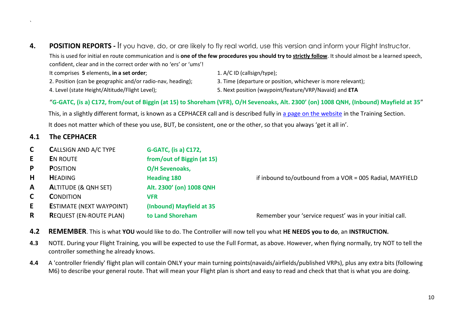- **4. POSITION REPORTS -** If you have, do, or are likely to fly real world, use this version and inform your Flight Instructor. This is used for initial en route communication and is **one of the few procedures you should try to strictly follow**. It should almost be a learned speech, confident, clear and in the correct order with no 'ers' or 'ums'!
	- It comprises **5** elements, **in a set order**; 1. A/C ID (callsign/type); 2. Position (can be geographic and/or radio-nav, heading); 3. Time (departure or position, whichever is more relevant);
		-

4. Level (state Height/Altitude/Flight Level); 5. Next position (waypoint/feature/VRP/Navaid) and **ETA**

#### "**G-GATC, (is a) C172, from/out of Biggin (at 15) to Shoreham (VFR), O/H Sevenoaks, Alt. 2300' (on) 1008 QNH, (Inbound) Mayfield at 35**"

This, in a slightly different format, is known as a CEPHACER call and is described fully in [a page on the website](http://www.cixvfrclub.org.uk/training/TrainingManual/cephacer.php) in the Training Section. It does not matter which of these you use, BUT, be consistent, one or the other, so that you always 'get it all in'.

## **4.1 The CEPHACER**

`

| C.           | <b>CALLSIGN AND A/C TYPE</b>    | <b>G-GATC, (is a) C172,</b> |                                                           |
|--------------|---------------------------------|-----------------------------|-----------------------------------------------------------|
| E.           | <b>EN ROUTE</b>                 | from/out of Biggin (at 15)  |                                                           |
| P            | <b>POSITION</b>                 | O/H Sevenoaks,              |                                                           |
| H            | <b>HEADING</b>                  | <b>Heading 180</b>          | if inbound to/outbound from a VOR = 005 Radial, MAYFIELD  |
| $\mathbf{A}$ | <b>ALTITUDE (&amp; QNH SET)</b> | Alt. 2300' (on) 1008 QNH    |                                                           |
| C            | <b>CONDITION</b>                | <b>VFR</b>                  |                                                           |
| E.           | <b>ESTIMATE (NEXT WAYPOINT)</b> | (Inbound) Mayfield at 35    |                                                           |
| R.           | <b>REQUEST (EN-ROUTE PLAN)</b>  | to Land Shoreham            | Remember your 'service request' was in your initial call. |

**4.2 REMEMBER**. This is what **YOU** would like to do. The Controller will now tell you what **HE NEEDS you to do**, an **INSTRUCTION.**

- **4.3** NOTE. During your Flight Training, you will be expected to use the Full Format, as above. However, when flying normally, try NOT to tell the controller something he already knows.
- **4.4** A 'controller friendly' flight plan will contain ONLY your main turning points(navaids/airfields/published VRPs), plus any extra bits (following M6) to describe your general route. That will mean your Flight plan is short and easy to read and check that that is what you are doing.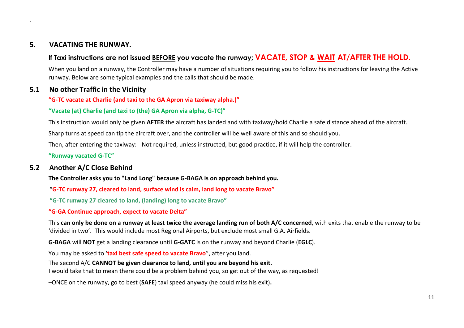#### **5. VACATING THE RUNWAY.**

`

#### **If Taxi instructions are not issued BEFORE you vacate the runway; VACATE, STOP & WAIT AT/AFTER THE HOLD.**

When you land on a runway, the Controller may have a number of situations requiring you to follow his instructions for leaving the Active runway. Below are some typical examples and the calls that should be made.

#### **5.1 No other Traffic in the Vicinity**

#### **"G-TC vacate at Charlie (and taxi to the GA Apron via taxiway alpha.)"**

#### **"Vacate (at) Charlie (and taxi to (the) GA Apron via alpha, G-TC)"**

This instruction would only be given **AFTER** the aircraft has landed and with taxiway/hold Charlie a safe distance ahead of the aircraft.

Sharp turns at speed can tip the aircraft over, and the controller will be well aware of this and so should you.

Then, after entering the taxiway: - Not required, unless instructed, but good practice, if it will help the controller.

**"Runway vacated G-TC"**

#### **5.2 Another A/C Close Behind**

**The Controller asks you to "Land Long" because G-BAGA is on approach behind you.** 

"**G-TC runway 27, cleared to land, surface wind is calm, land long to vacate Bravo"**

**"G-TC runway 27 cleared to land, (landing) long to vacate Bravo"**

#### **"G-GA Continue approach, expect to vacate Delta"**

This **can only be done on a runway at least twice the average landing run of both A/C concerned**, with exits that enable the runway to be 'divided in two'. This would include most Regional Airports, but exclude most small G.A. Airfields.

**G-BAGA** will **NOT** get a landing clearance until **G-GATC** is on the runway and beyond Charlie (**EGLC**).

You may be asked to '**taxi best safe speed to vacate Bravo**", after you land.

The second A/C **CANNOT be given clearance to land, until you are beyond his exit**.

I would take that to mean there could be a problem behind you, so get out of the way, as requested!

–ONCE on the runway, go to best (**SAFE**) taxi speed anyway (he could miss his exit)**.**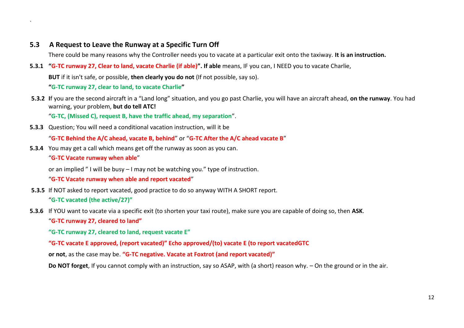#### **5.3 A Request to Leave the Runway at a Specific Turn Off**

There could be many reasons why the Controller needs you to vacate at a particular exit onto the taxiway. **It is an instruction.**

**5.3.1 "G-TC runway 27, Clear to land, vacate Charlie (if able)". If able** means, IF you can, I NEED you to vacate Charlie,

**BUT** if it isn't safe, or possible, **then clearly you do not** (If not possible, say so).

**"G-TC runway 27, clear to land, to vacate Charlie"**

**5.3.2 I**f you are the second aircraft in a "Land long" situation, and you go past Charlie, you will have an aircraft ahead, **on the runway**. You had warning, your problem, **but do tell ATC!**

"**G-TC, (Missed C), request B, have the traffic ahead, my separation**".

**5.3.3** Question; You will need a conditional vacation instruction, will it be

"**G-TC Behind the A/C ahead, vacate B, behind**" or "**G-TC After the A/C ahead vacate B**"

**5.3.4** You may get a call which means get off the runway as soon as you can.

"**G-TC Vacate runway when able**"

`

or an implied " I will be busy – I may not be watching you." type of instruction.

"**G-TC Vacate runway when able and report vacated**"

- **5.3.5** If NOT asked to report vacated, good practice to do so anyway WITH A SHORT report. "**G-TC vacated (the active/27)"**
- **5.3.6** If YOU want to vacate via a specific exit (to shorten your taxi route), make sure you are capable of doing so, then **ASK**. "**G-TC runway 27, cleared to land"**

**"G-TC runway 27, cleared to land, request vacate E"**

**"G-TC vacate E approved, (report vacated)" Echo approved/(to) vacate E (to report vacatedGTC**

**or not**, as the case may be. **"G-TC negative. Vacate at Foxtrot (and report vacated)"**

**Do NOT forget**, If you cannot comply with an instruction, say so ASAP, with (a short) reason why. – On the ground or in the air.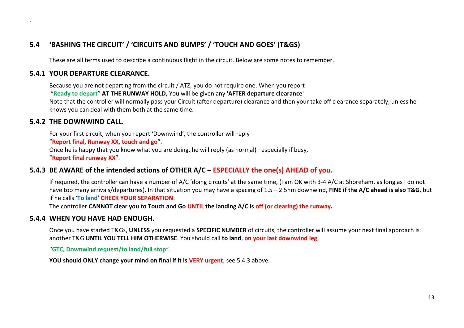## **5.4 'BASHING THE CIRCUIT' / 'CIRCUITS AND BUMPS' / 'TOUCH AND GOES' (T&GS)**

These are all terms used to describe a continuous flight in the circuit. Below are some notes to remember.

#### **5.4.1 YOUR DEPARTURE CLEARANCE.**

Because you are not departing from the circuit / ATZ, you do not require one. When you report

"**Ready to depart**" **AT THE RUNWAY HOLD,** You will be given any '**AFTER departure clearance**'

Note that the controller will normally pass your Circuit (after departure) clearance and then your take off clearance separately, unless he knows you can deal with them both at the same time.

#### **5.4.2 THE DOWNWIND CALL.**

`

For your first circuit, when you report 'Downwind', the controller will reply

"**Report final, Runway XX, touch and go**".

Once he is happy that you know what you are doing, he will reply (as normal) –especially if busy,

"**Report final runway XX**".

#### **5.4.3 BE AWARE of the intended actions of OTHER A/C – ESPECIALLY the one(s) AHEAD of you.**

If required, the controller can have a number of A/C 'doing circuits' at the same time, (I am OK with 3-4 A/C at Shoreham, as long as I do not have too many arrivals/departures). In that situation you may have a spacing of 1.5 – 2.5nm downwind, **FINE if the A/C ahead is also T&G**, but if he calls '**To land**' **CHECK YOUR SEPARATION**.

The controller **CANNOT clear you to Touch and Go UNTIL the landing A/C is off (or clearing) the runway.** 

#### **5.4.4 WHEN YOU HAVE HAD ENOUGH.**

Once you have started T&Gs, **UNLESS** you requested a **SPECIFIC NUMBER** of circuits, the controller will assume your next final approach is another T&G **UNTIL YOU TELL HIM OTHERWISE**. You should call **to land**, **on your last downwind leg**,

"**GTC, Downwind request/to land/full stop**".

**YOU should ONLY change your mind on final if it is VERY urgent**, see 5.4.3 above.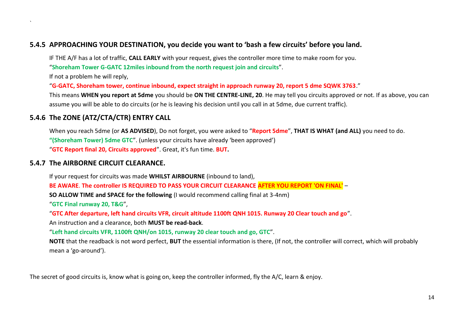#### **5.4.5 APPROACHING YOUR DESTINATION, you decide you want to 'bash a few circuits' before you land.**

IF THE A/F has a lot of traffic, **CALL EARLY** with your request, gives the controller more time to make room for you.

"**Shoreham Tower G-GATC 12miles inbound from the north request join and circuits**".

If not a problem he will reply,

`

"**G-GATC, Shoreham tower, continue inbound, expect straight in approach runway 20, report 5 dme SQWK 3763**."

This means **WHEN you report at 5dme** you should be **ON THE CENTRE-LINE, 20**. He may tell you circuits approved or not. If as above, you can assume you will be able to do circuits (or he is leaving his decision until you call in at 5dme, due current traffic).

## **5.4.6 The ZONE (ATZ/CTA/CTR) ENTRY CALL**

When you reach 5dme (or **AS ADVISED**), Do not forget, you were asked to "**Report 5dme**", **THAT IS WHAT (and ALL)** you need to do. **"(Shoreham Tower) 5dme GTC**". (unless your circuits have already 'been approved') "**GTC Report final 20, Circuits approved**". Great, it's fun time. **BUT.** 

#### **5.4.7 The AIRBORNE CIRCUIT CLEARANCE.**

If your request for circuits was made **WHILST AIRBOURNE** (inbound to land),

**BE AWARE**. **The controller IS REQUIRED TO PASS YOUR CIRCUIT CLEARANCE AFTER YOU REPORT 'ON FINAL'** –

**SO ALLOW TIME and SPACE for the following** (I would recommend calling final at 3-4nm)

"**GTC Final runway 20, T&G**",

"**GTC After departure, left hand circuits VFR, circuit altitude 1100ft QNH 1015. Runway 20 Clear touch and go**".

An instruction and a clearance, both **MUST be read-back**.

"**Left hand circuits VFR, 1100ft QNH/on 1015, runway 20 clear touch and go, GTC**".

**NOTE** that the readback is not word perfect, **BUT** the essential information is there, (If not, the controller will correct, which will probably mean a 'go-around').

The secret of good circuits is, know what is going on, keep the controller informed, fly the A/C, learn & enjoy.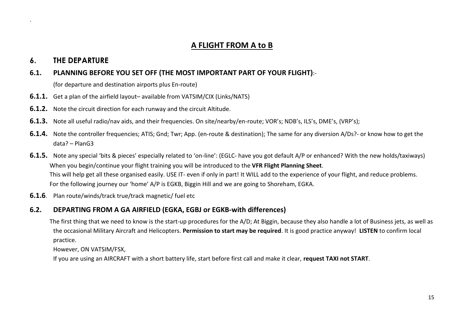## **A FLIGHT FROM A to B**

## **6. THE DEPARTURE**

`

#### **6.1. PLANNING BEFORE YOU SET OFF (THE MOST IMPORTANT PART OF YOUR FLIGHT)**:-

(for departure and destination airports plus En-route)

- **6.1.1.** Get a plan of the airfield layout– available from VATSIM/CIX (Links/NATS)
- **6.1.2.** Note the circuit direction for each runway and the circuit Altitude.
- **6.1.3.** Note all useful radio/nav aids, and their frequencies. On site/nearby/en-route; VOR's; NDB's, ILS's, DME's, (VRP's);
- **6.1.4.** Note the controller frequencies; ATIS; Gnd; Twr; App. (en-route & destination); The same for any diversion A/Ds?- or know how to get the data? – PlanG3
- **6.1.5.** Note any special 'bits & pieces' especially related to 'on-line': (EGLC- have you got default A/P or enhanced? With the new holds/taxiways) When you begin/continue your flight training you will be introduced to the **VFR Flight Planning Sheet**. This will help get all these organised easily. USE IT- even if only in part! It WILL add to the experience of your flight, and reduce problems. For the following journey our 'home' A/P is EGKB, Biggin Hill and we are going to Shoreham, EGKA.
- **6.1.6**. Plan route/winds/track true/track magnetic/ fuel etc

## **6.2. DEPARTING FROM A GA AIRFIELD (EGKA, EGBJ or EGKB-with differences)**

The first thing that we need to know is the start-up procedures for the A/D; At Biggin, because they also handle a lot of Business jets, as well as the occasional Military Aircraft and Helicopters. **Permission to start may be required**. It is good practice anyway! **LISTEN** to confirm local practice.

However, ON VATSIM/FSX,

If you are using an AIRCRAFT with a short battery life, start before first call and make it clear, **request TAXI not START**.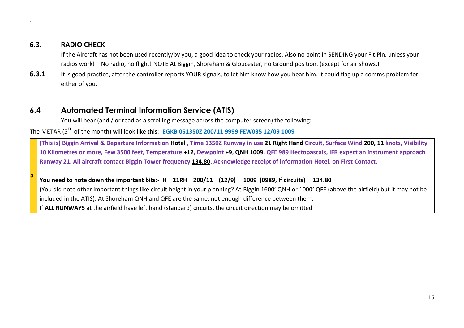#### **6.3. RADIO CHECK**

`

**a**

If the Aircraft has not been used recently/by you, a good idea to check your radios. Also no point in SENDING your Flt.Pln. unless your radios work! – No radio, no flight! NOTE At Biggin, Shoreham & Gloucester, no Ground position. (except for air shows.)

**6.3.1** It is good practice, after the controller reports YOUR signals, to let him know how you hear him. It could flag up a comms problem for either of you.

## **6.4 Automated Terminal Information Service (ATIS)**

You will hear (and / or read as a scrolling message across the computer screen) the following: -

The METAR (5TH of the month) will look like this:- **EGKB 051350Z 200/11 9999 FEW035 12/09 1009**

**(This is) Biggin Arrival & Departure Information Hotel , Time 1350Z Runway in use 21 Right Hand Circuit, Surface Wind 200, 11 knots, Visibility 10 Kilometres or more, Few 3500 feet, Temperature +12, Dewpoint +9, QNH 1009, QFE 989 Hectopascals, IFR expect an instrument approach Runway 21, All aircraft contact Biggin Tower frequency 134.80, Acknowledge receipt of information Hotel, on First Contact.** 

#### **You need to note down the important bits:- H 21RH 200/11 (12/9) 1009 (0989, If circuits) 134.80**

(You did note other important things like circuit height in your planning? At Biggin 1600' QNH or 1000' QFE (above the airfield) but it may not be included in the ATIS). At Shoreham QNH and QFE are the same, not enough difference between them.

If **ALL RUNWAYS** at the airfield have left hand (standard) circuits, the circuit direction may be omitted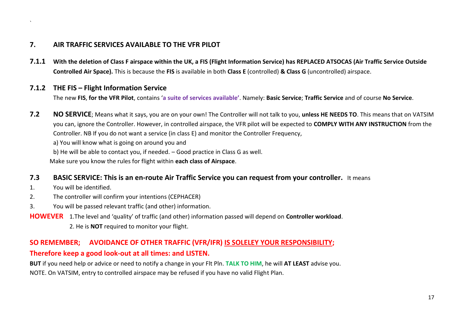## **7. AIR TRAFFIC SERVICES AVAILABLE TO THE VFR PILOT**

**7.1.1 With the deletion of Class F airspace within the UK, a FIS (Flight Information Service) has REPLACED ATSOCAS (Air Traffic Service Outside Controlled Air Space).** This is because the **FIS** is available in both **Class E** (controlled) **& Class G** (uncontrolled) airspace.

#### **7.1.2 THE FIS – Flight Information Service**

The new **FIS**, **for the VFR Pilot**, contains '**a suite of services available'**. Namely: **Basic Service**; **Traffic Service** and of course **No Service**.

**7.2 NO SERVICE**; Means what it says, you are on your own! The Controller will not talk to you, **unless HE NEEDS TO**. This means that on VATSIM you can, ignore the Controller. However, in controlled airspace, the VFR pilot will be expected to **COMPLY WITH ANY INSTRUCTION** from the Controller. NB If you do not want a service (in class E) and monitor the Controller Frequency,

a) You will know what is going on around you and

b) He will be able to contact you, if needed. – Good practice in Class G as well.

Make sure you know the rules for flight within **each class of Airspace**.

#### **7.3 BASIC SERVICE: This is an en-route Air Traffic Service you can request from your controller.** It means

1. You will be identified.

`

- 2. The controller will confirm your intentions (CEPHACER)
- 3. You will be passed relevant traffic (and other) information.

**HOWEVER** 1.The level and 'quality' of traffic (and other) information passed will depend on **Controller workload**.

2. He is **NOT** required to monitor your flight.

#### **SO REMEMBER; AVOIDANCE OF OTHER TRAFFIC (VFR/IFR) IS SOLELEY YOUR RESPONSIBILITY;**

#### **Therefore keep a good look-out at all times: and LISTEN.**

**BUT** if you need help or advice or need to notify a change in your Flt Pln. **TALK TO HIM**, he will **AT LEAST** advise you. NOTE. On VATSIM, entry to controlled airspace may be refused if you have no valid Flight Plan.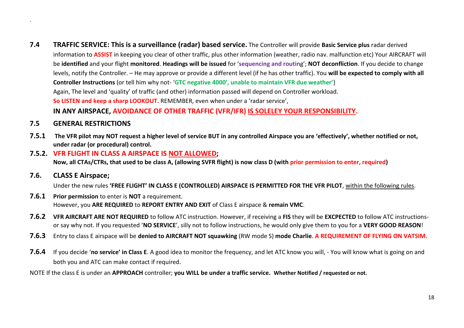- **7.4 TRAFFIC SERVICE: This is a surveillance (radar) based service.** The Controller will provide **Basic Service plus** radar derived information to **ASSIST** in keeping you clear of other traffic, plus other information (weather, radio nav. malfunction etc) Your AIRCRAFT will be **identified** and your flight **monitored**. **Headings will be issued** for '**sequencing and routi**ng'; **NOT deconfliction**. If you decide to change levels, notify the Controller. – He may approve or provide a different level (if he has other traffic). You **will be expected to comply with all Controller Instructions** (or tell him why not- '**GTC negative 4000', unable to maintain VFR due weather'**) Again, The level and 'quality' of traffic (and other) information passed will depend on Controller workload. **So LISTEN and keep a sharp LOOKOUT.** REMEMBER, even when under a 'radar service', **IN ANY AIRSPACE, AVOIDANCE OF OTHER TRAFFIC (VFR/IFR) IS SOLELEY YOUR RESPONSIBILITY.**
- **7.5 GENERAL RESTRICTIONS**

`

- **7.5.1 The VFR pilot may NOT request a higher level of service BUT in any controlled Airspace you are 'effectively', whether notified or not, under radar (or procedural) control.**
- **7.5.2. VFR FLIGHT IN CLASS A AIRSPACE IS NOT ALLOWED; Now, all CTAs/CTRs, that used to be class A, (allowing SVFR flight) is now class D (with prior permission to enter, required)**
- **7.6. CLASS E Airspace;**

Under the new rules **'FREE FLIGHT' IN CLASS E (CONTROLLED) AIRSPACE IS PERMITTED FOR THE VFR PILOT**, within the following rules.

- **7.6.1 Prior permission** to enter is **NOT** a requirement. However, you **ARE REQUIRED** to **REPORT ENTRY AND EXIT** of Class E airspace & **remain VMC**.
- **7.6.2 VFR AIRCRAFT ARE NOT REQUIRED** to follow ATC instruction. However, if receiving a **FIS** they will be **EXCPECTED** to follow ATC instructionsor say why not. If you requested '**NO SERVICE**', silly not to follow instructions, he would only give them to you for a **VERY GOOD REASON**!
- **7.6.3** Entry to class E airspace will be **denied to AIRCRAFT NOT squawking** (RW mode S) **mode Charlie**. **A REQUIREMENT OF FLYING ON VATSIM.**
- **7.6.4** If you decide '**no service' in Class E**. A good idea to monitor the frequency, and let ATC know you will, You will know what is going on and both you and ATC can make contact if required.

NOTE If the class E is under an **APPROACH** controller; **you WILL be under a traffic service. Whether Notified / requested or not.**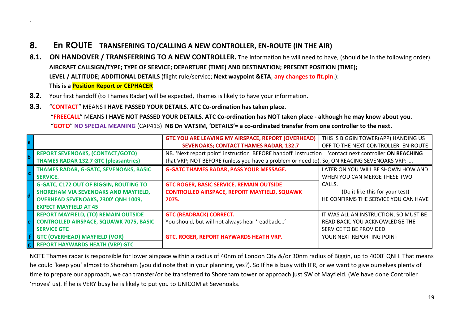## **8. En ROUTE TRANSFERING TO/CALLING A NEW CONTROLLER, EN-ROUTE (IN THE AIR)**

- **8.1. ON HANDOVER / TRANSFERRING TO A NEW CONTROLLER.** The information he will need to have, (should be in the following order). **AIRCRAFT CALLSIGN/TYPE; TYPE OF SERVICE; DEPARTURE (TIME) AND DESTINATION; PRESENT POSITION (TIME); LEVEL / ALTITUDE; ADDITIONAL DETAILS** (flight rule/service; **Next waypoint &ETA**; **any changes to flt.pln**.): - **This is a Position Report or CEPHACER**
- **8.2.** Your first handoff (to Thames Radar) will be expected, Thames is likely to have your information.
- **8.3.** "**CONTACT**" MEANS **I HAVE PASSED YOUR DETAILS. ATC Co-ordination has taken place.**

`

"**FREECALL**" MEANS **I HAVE NOT PASSED YOUR DETAILS. ATC Co-ordination has NOT taken place - although he may know about you.** "**GOTO**" **NO SPECIAL MEANING** (CAP413) **NB On VATSIM, 'DETAILS'= a co-ordinated transfer from one controller to the next.**

|             |                                                | <b>GTC YOU ARE LEAVING MY AIRSPACE, REPORT (OVERHEAD)</b>                                             | THIS IS BIGGIN TOWER(APP) HANDING US  |
|-------------|------------------------------------------------|-------------------------------------------------------------------------------------------------------|---------------------------------------|
|             |                                                | <b>SEVENOAKS; CONTACT THAMES RADAR, 132.7</b>                                                         | OFF TO THE NEXT CONTROLLER, EN-ROUTE  |
|             | <b>REPORT SEVENOAKS, (CONTACT/GOTO)</b>        | NB. 'Next report point' instruction BEFORE handoff instruction = 'contact next controller ON REACHING |                                       |
|             | <b>THAMES RADAR 132.7 GTC (pleasantries)</b>   | that VRP; NOT BEFORE (unless you have a problem or need to). So, ON REACING SEVENOAKS VRP:-           |                                       |
|             | THAMES RADAR, G-GATC, SEVENOAKS, BASIC         | <b>G-GATC THAMES RADAR, PASS YOUR MESSAGE.</b>                                                        | LATER ON YOU WILL BE SHOWN HOW AND    |
| l C         | <b>SERVICE.</b>                                |                                                                                                       | WHEN YOU CAN MERGE THESE TWO          |
|             | <b>G-GATC, C172 OUT OF BIGGIN, ROUTING TO</b>  | <b>GTC ROGER, BASIC SERVICE, REMAIN OUTSIDE</b>                                                       | CALLS.                                |
|             | SHOREHAM VIA SEVENOAKS AND MAYFIELD,           | <b>CONTROLLED AIRSPACE, REPORT MAYFIELD, SQUAWK</b>                                                   | (Do it like this for your test)       |
|             | <b>OVERHEAD SEVENOAKS, 2300' QNH 1009,</b>     | 7075.                                                                                                 | HE CONFIRMS THE SERVICE YOU CAN HAVE  |
|             | <b>EXPECT MAYFIELD AT 45</b>                   |                                                                                                       |                                       |
|             | <b>REPORT MAYFIELD, (TO) REMAIN OUTSIDE</b>    | <b>GTC (READBACK) CORRECT.</b>                                                                        | IT WAS ALL AN INSTRUCTION, SO MUST BE |
| e           | <b>CONTROLLED AIRSPACE, SQUAWK 7075, BASIC</b> | You should, but will not always hear 'readback'                                                       | READ BACK. YOU ACKNOWLEDGE THE        |
|             | <b>SERVICE GTC</b>                             |                                                                                                       | SERVICE TO BE PROVIDED                |
|             | <b>GTC (OVERHEAD) MAYFIELD (VOR)</b>           | GTC, ROGER, REPORT HAYWARDS HEATH VRP.                                                                | YOUR NEXT REPORTING POINT             |
| $ {\bf g} $ | <b>REPORT HAYWARDS HEATH (VRP) GTC</b>         |                                                                                                       |                                       |

NOTE Thames radar is responsible for lower airspace within a radius of 40nm of London City &/or 30nm radius of Biggin, up to 4000' QNH. That means he could 'keep you' almost to Shoreham (you did note that in your planning, yes?). So If he is busy with IFR, or we want to give ourselves plenty of time to prepare our approach, we can transfer/or be transferred to Shoreham tower or approach just SW of Mayfield. (We have done Controller 'moves' us). If he is VERY busy he is likely to put you to UNICOM at Sevenoaks.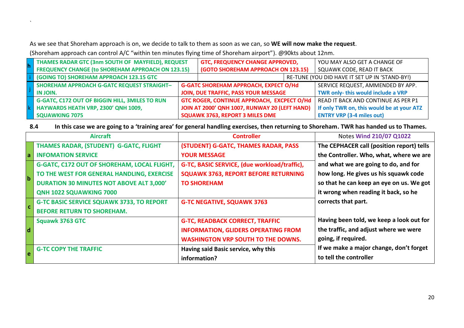As we see that Shoreham approach is on, we decide to talk to them as soon as we can, so **WE will now make the request**.

(Shoreham approach can control A/C "within ten minutes flying time of Shoreham airport"). @90kts about 12nm.

`

| THAMES RADAR GTC (3nm SOUTH OF MAYFIELD), REQUEST        |  | <b>GTC, FREQUENCY CHANGE APPROVED,</b>        | YOU MAY ALSO GET A CHANGE OF                   |
|----------------------------------------------------------|--|-----------------------------------------------|------------------------------------------------|
| <b>FREQUENCY CHANGE (to SHOREHAM APPROACH ON 123.15)</b> |  | <b>(GOTO SHOREHAM APPROACH ON 123.15)</b>     | SQUAWK CODE, READ IT BACK                      |
| (GOING TO) SHOREHAM APPROACH 123.15 GTC                  |  |                                               | RE-TUNE (YOU DID HAVE IT SET UP IN 'STAND-BY!) |
| <b>SHOREHAM APPROACH G-GATC REQUEST STRAIGHT-</b>        |  | <b>G-GATC SHOREHAM APPROACH, EXPECT O/Hd</b>  | SERVICE REQUEST, AMMENDED BY APP.              |
| IN JOIN.                                                 |  | JOIN, DUE TRAFFIC, PASS YOUR MESSAGE          | TWR only- this would include a VRP             |
| <b>G-GATC, C172 OUT OF BIGGIN HILL, 3MILES TO RUN</b>    |  | GTC ROGER, CONTINUE APPROACH, EXCPECT O/Hd    | READ IT BACK AND CONTINUE AS PER P1            |
| HAYWARDS HEATH VRP, 2300' QNH 1009,                      |  | JOIN AT 2000' QNH 1007, RUNWAY 20 (LEFT HAND) | If only TWR on, this would be at your ATZ      |
| <b>SQUAWKING 7075</b>                                    |  | <b>SQUAWK 3763, REPORT 3 MILES DME</b>        | <b>ENTRY VRP (3-4 miles out)</b>               |

**8.4 In this case we are going to a 'training area' for general handling exercises, then returning to Shoreham. TWR has handed us to Thames.**

|              | <b>Aircraft</b>                                  | <b>Controller</b>                            | Notes Wind 210/07 Q1022                   |
|--------------|--------------------------------------------------|----------------------------------------------|-------------------------------------------|
|              | THAMES RADAR, (STUDENT) G-GATC, FLIGHT           | (STUDENT) G-GATC, THAMES RADAR, PASS         | The CEPHACER call (position report) tells |
| l a          | <b>INFOMATION SERVICE</b>                        | <b>YOUR MESSAGE</b>                          | the Controller. Who, what, where we are   |
|              | G-GATC, C172 OUT OF SHOREHAM, LOCAL FLIGHT,      | G-TC, BASIC SERVICE, (due workload/traffic), | and what we are going to do, and for      |
| <sub>b</sub> | TO THE WEST FOR GENERAL HANDLING, EXERCISE       | <b>SQUAWK 3763, REPORT BEFORE RETURNING</b>  | how long. He gives us his squawk code     |
|              | <b>DURATION 30 MINUTES NOT ABOVE ALT 3,000'</b>  | <b>TO SHOREHAM</b>                           | so that he can keep an eye on us. We got  |
|              | QNH 1022 SQUAWKING 7000                          |                                              | it wrong when reading it back, so he      |
|              | <b>G-TC BASIC SERVICE SQUAWK 3733, TO REPORT</b> | <b>G-TC NEGATIVE, SQUAWK 3763</b>            | corrects that part.                       |
|              | <b>BEFORE RETURN TO SHOREHAM.</b>                |                                              |                                           |
|              | <b>Squawk 3763 GTC</b>                           | <b>G-TC, READBACK CORRECT, TRAFFIC</b>       | Having been told, we keep a look out for  |
| <b>d</b>     |                                                  | <b>INFORMATION, GLIDERS OPERATING FROM</b>   | the traffic, and adjust where we were     |
|              |                                                  | <b>WASHINGTON VRP SOUTH TO THE DOWNS.</b>    | going, if required.                       |
| l e          | <b>G-TC COPY THE TRAFFIC</b>                     | Having said Basic service, why this          | If we make a major change, don't forget   |
|              |                                                  | information?                                 | to tell the controller                    |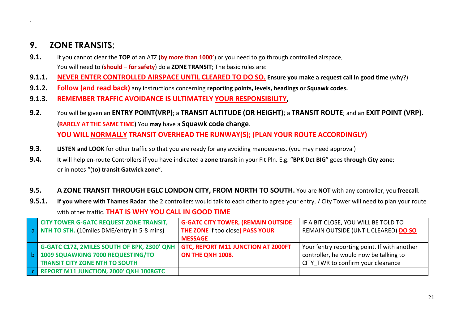## **9. ZONE TRANSITS**;

`

- **9.1.** If you cannot clear the **TOP** of an ATZ (**by more than 1000'**) or you need to go through controlled airspace, You will need to (**should – for safety**) do a **ZONE TRANSIT**; The basic rules are:
- **9.1.1. NEVER ENTER CONTROLLED AIRSPACE UNTIL CLEARED TO DO SO. Ensure you make a request call in good time** (why?)
- **9.1.2. Follow (and read back)** any instructions concerning **reporting points, levels, headings or Squawk codes.**
- **9.1.3. REMEMBER TRAFFIC AVOIDANCE IS ULTIMATELY YOUR RESPONSIBILITY,**
- **9.2.** You will be given an **ENTRY POINT(VRP)**; a **TRANSIT ALTITUDE (OR HEIGHT)**; a **TRANSIT ROUTE**; and an **EXIT POINT (VRP). (RARELY AT THE SAME TIME)** You **may** have a **Squawk code change**. **YOU WILL NORMALLY TRANSIT OVERHEAD THE RUNWAY(S); (PLAN YOUR ROUTE ACCORDINGLY)**
- **9.3. LISTEN and LOOK** for other traffic so that you are ready for any avoiding manoeuvres. (you may need approval)
- **9.4.** It will help en-route Controllers if you have indicated a **zone transit** in your Flt Pln. E.g. "**BPK Dct BIG**" goes **through City zone**; or in notes "(**to) transit Gatwick zone**".

#### **9.5. A ZONE TRANSIT THROUGH EGLC LONDON CITY, FROM NORTH TO SOUTH.** You are **NOT** with any controller, you **freecall**.

**9.5.1. If you where with Thames Radar**, the 2 controllers would talk to each other to agree your entry, / City Tower will need to plan your route with other traffic. **THAT IS WHY YOU CALL IN GOOD TIME**

| <b>CITY TOWER G-GATC REQUEST ZONE TRANSIT,</b> | <b>G-GATC CITY TOWER, (REMAIN OUTSIDE</b> | IF A BIT CLOSE, YOU WILL BE TOLD TO          |
|------------------------------------------------|-------------------------------------------|----------------------------------------------|
| a NTH TO STH. (10miles DME/entry in 5-8 mins)  | THE ZONE if too close) PASS YOUR          | REMAIN OUTSIDE (UNTIL CLEARED) DO SO         |
|                                                | <b>MESSAGE</b>                            |                                              |
| G-GATC C172, 2MILES SOUTH OF BPK, 2300' QNH    | <b>GTC, REPORT M11 JUNCTION AT 2000FT</b> | Your 'entry reporting point. If with another |
| 1009 SQUAWKING 7000 REQUESTING/TO              | ON THE QNH 1008.                          | controller, he would now be talking to       |
| <b>TRANSIT CITY ZONE NTH TO SOUTH</b>          |                                           | CITY TWR to confirm your clearance           |
| C REPORT M11 JUNCTION, 2000' QNH 1008GTC       |                                           |                                              |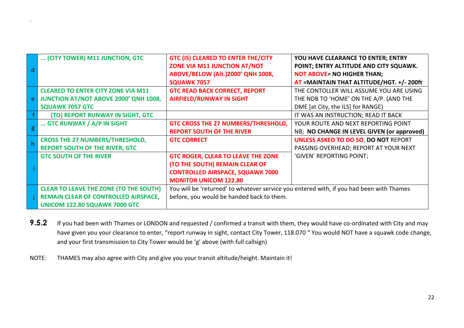|   | (CITY TOWER) M11 JUNCTION, GTC                | <b>GTC (IS) CLEARED TO ENTER THE/CITY</b>                                                | YOU HAVE CLEARANCE TO ENTER; ENTRY          |
|---|-----------------------------------------------|------------------------------------------------------------------------------------------|---------------------------------------------|
|   |                                               | ZONE VIA M11 JUNCTION AT/NOT                                                             | POINT; ENTRY ALTITUDE AND CITY SQUAWK.      |
|   |                                               | ABOVE/BELOW (Alt.)2000' QNH 1008,                                                        | <b>NOT ABOVE= NO HIGHER THAN;</b>           |
|   |                                               | <b>SQUAWK 7057</b>                                                                       | AT = MAINTAIN THAT ALTITUDE/HGT. +/- 200ft  |
|   | <b>CLEARED TO ENTER CITY ZONE VIA M11</b>     | <b>GTC READ BACK CORRECT, REPORT</b>                                                     | THE CONTOLLER WILL ASSUME YOU ARE USING     |
|   | JUNCTION AT/NOT ABOVE 2000' QNH 1008,         | <b>AIRFIELD/RUNWAY IN SIGHT</b>                                                          | THE NDB TO 'HOME' ON THE A/P. (AND THE      |
|   | <b>SQUAWK 7057 GTC</b>                        |                                                                                          | DME [at City, the ILS] for RANGE)           |
|   | (TO) REPORT RUNWAY IN SIGHT, GTC              |                                                                                          | IT WAS AN INSTRUCTION; READ IT BACK         |
|   | GTC RUNWAY / A/P IN SIGHT                     | GTC CROSS THE 27 NUMBERS/THRESHOLD,                                                      | YOUR ROUTE AND NEXT REPORTING POINT         |
| g |                                               | <b>REPORT SOUTH OF THE RIVER</b>                                                         | NB; NO CHANGE IN LEVEL GIVEN (or approved)  |
|   | <b>CROSS THE 27 NUMBERS/THRESHOLD,</b>        | <b>GTC CORRECT</b>                                                                       | <b>UNLESS ASKED TO DO SO, DO NOT REPORT</b> |
|   | <b>REPORT SOUTH OF THE RIVER, GTC</b>         |                                                                                          | PASSING OVERHEAD; REPORT AT YOUR NEXT       |
|   | <b>GTC SOUTH OF THE RIVER</b>                 | <b>GTC ROGER, CLEAR TO LEAVE THE ZONE</b>                                                | 'GIVEN' REPORTING POINT;                    |
|   |                                               | (TO THE SOUTH) REMAIN CLEAR OF                                                           |                                             |
|   |                                               | <b>CONTROLLED AIRSPACE, SQUAWK 7000</b>                                                  |                                             |
|   |                                               | <b>MONITOR UNICOM 122.80</b>                                                             |                                             |
|   | <b>CLEAR TO LEAVE THE ZONE (TO THE SOUTH)</b> | You will be 'returned' to whatever service you entered with, if you had been with Thames |                                             |
|   | <b>REMAIN CLEAR OF CONTROLLED AIRSPACE,</b>   | before, you would be handed back to them.                                                |                                             |
|   | UNICOM 122.80 SQUAWK 7000 GTC                 |                                                                                          |                                             |

- 9.5.2 If you had been with Thames or LONDON and requested / confirmed a transit with them, they would have co-ordinated with City and may have given you your clearance to enter, "report runway in sight, contact City Tower, 118.070 " You would NOT have a squawk code change, and your first transmission to City Tower would be 'g' above (with full callsign)
- NOTE: THAMES may also agree with City and give you your transit altitude/height. Maintain it!

`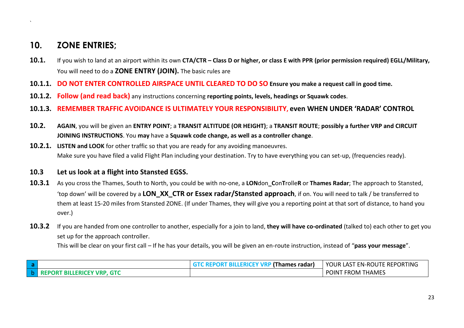## **10. ZONE ENTRIES;**

`

- **10.1.** If you wish to land at an airport within its own **CTA/CTR – Class D or higher, or class E with PPR (prior permission required) EGLL/Military,** You will need to do a **ZONE ENTRY (JOIN).** The basic rules are
- **10.1.1. DO NOT ENTER CONTROLLED AIRSPACE UNTIL CLEARED TO DO SO Ensure you make a request call in good time.**
- **10.1.2. Follow (and read back)** any instructions concerning **reporting points, levels, headings or Squawk codes**.
- **10.1.3. REMEMBER TRAFFIC AVOIDANCE IS ULTIMATELY YOUR RESPONSIBILITY, even WHEN UNDER 'RADAR' CONTROL**
- **10.2. AGAIN**, you will be given an **ENTRY POINT**; a **TRANSIT ALTITUDE (OR HEIGHT)**; a **TRANSIT ROUTE**; **possibly a further VRP and CIRCUIT JOINING INSTRUCTIONS**. You **may** have a **Squawk code change, as well as a controller change**.
- **10.2.1. LISTEN and LOOK** for other traffic so that you are ready for any avoiding manoeuvres. Make sure you have filed a valid Flight Plan including your destination. Try to have everything you can set-up, (frequencies ready).
- **10.3 Let us look at a flight into Stansted EGSS.**
- **10.3.1** As you cross the Thames, South to North, you could be with no-one, a **LON**don**\_C**on**T**rolle**R** or **Thames Radar**; The approach to Stansted, 'top down' will be covered by a **LON\_XX\_CTR or Essex radar/Stansted approach**, if on. You will need to talk / be transferred to them at least 15-20 miles from Stansted ZONE. (If under Thames, they will give you a reporting point at that sort of distance, to hand you over.)
- **10.3.2** If you are handed from one controller to another, especially for a join to land, **they will have co-ordinated** (talked to) each other to get you set up for the approach controller.

This will be clear on your first call – If he has your details, you will be given an en-route instruction, instead of "**pass your message**".

| -d  |                                             | TC REPORT BILLERICEY VRP (Thames radar) | YOUR LAST EN-ROUTE REPORTING  |
|-----|---------------------------------------------|-----------------------------------------|-------------------------------|
| ∣ b | <b>GTC</b><br><b>REPORT BILLERICEY VRP,</b> |                                         | ` FROM THAMES<br><b>POINT</b> |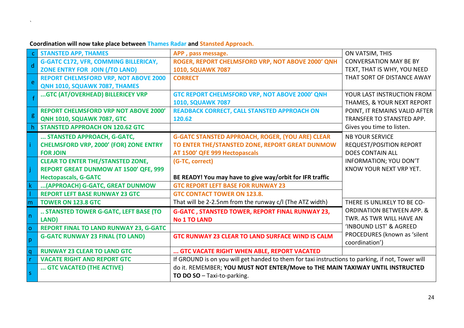|                  | <b>STANSTED APP, THAMES</b>                   | APP, pass message.                                                                               | ON VATSIM, THIS                      |
|------------------|-----------------------------------------------|--------------------------------------------------------------------------------------------------|--------------------------------------|
| $\mathsf{d}$     | <b>G-GATC C172, VFR, COMMING BILLERICAY,</b>  | ROGER, REPORT CHELMSFORD VRP, NOT ABOVE 2000' QNH                                                | <b>CONVERSATION MAY BE BY</b>        |
|                  | ZONE ENTRY FOR JOIN (/TO LAND)                | <b>1010, SQUAWK 7087</b>                                                                         | TEXT, THAT IS WHY, YOU NEED          |
| e <sup>-</sup>   | <b>REPORT CHELMSFORD VRP, NOT ABOVE 2000</b>  | <b>CORRECT</b>                                                                                   | THAT SORT OF DISTANCE AWAY           |
|                  | QNH 1010, SQUAWK 7087, THAMES                 |                                                                                                  |                                      |
|                  | GTC (AT/OVERHEAD) BILLERICEY VRP              | GTC REPORT CHELMSFORD VRP, NOT ABOVE 2000' QNH                                                   | YOUR LAST INSTRUCTION FROM           |
|                  |                                               | <b>1010, SQUAWK 7087</b>                                                                         | THAMES, & YOUR NEXT REPORT           |
|                  | <b>REPORT CHELMSFORD VRP NOT ABOVE 2000'</b>  | <b>READBACK CORRECT, CALL STANSTED APPROACH ON</b>                                               | POINT, IT REMAINS VALID AFTER        |
| $\boldsymbol{g}$ | <b>QNH 1010, SQUAWK 7087, GTC</b>             | 120.62                                                                                           | TRANSFER TO STANSTED APP.            |
|                  | <b>STANSTED APPROACH ON 120.62 GTC</b>        |                                                                                                  | Gives you time to listen.            |
|                  | STANSTED APPROACH, G-GATC,                    | <b>G-GATC STANSTED APPROACH, ROGER, (YOU ARE) CLEAR</b>                                          | <b>NB YOUR SERVICE</b>               |
|                  | <b>CHELMSFORD VRP, 2000' (FOR) ZONE ENTRY</b> | TO ENTER THE/STANSTED ZONE, REPORT GREAT DUNMOW                                                  | <b>REQUEST/POSITION REPORT</b>       |
|                  | <b>FOR JOIN</b>                               | AT 1500' QFE 999 Hectopascals                                                                    | <b>DOES CONTAIN ALL</b>              |
|                  | <b>CLEAR TO ENTER THE/STANSTED ZONE,</b>      | (G-TC, correct)                                                                                  | <b>INFORMATION; YOU DON'T</b>        |
|                  | <b>REPORT GREAT DUNMOW AT 1500' QFE, 999</b>  |                                                                                                  | KNOW YOUR NEXT VRP YET.              |
|                  | <b>Hectopascals, G-GATC</b>                   | BE READY! You may have to give way/orbit for IFR traffic                                         |                                      |
| $\mathsf{k}$     | (APPROACH) G-GATC, GREAT DUNMOW               | <b>GTC REPORT LEFT BASE FOR RUNWAY 23</b>                                                        |                                      |
|                  | <b>REPORT LEFT BASE RUNWAY 23 GTC</b>         | <b>GTC CONTACT TOWER ON 123.8.</b>                                                               |                                      |
| m                | <b>TOWER ON 123.8 GTC</b>                     | That will be 2-2.5nm from the runway c/l (The ATZ width)                                         | THERE IS UNLIKELY TO BE CO-          |
| n                | STANSTED TOWER G-GATC, LEFT BASE (TO          | <b>G-GATC, STANSTED TOWER, REPORT FINAL RUNWAY 23,</b>                                           | <b>ORDINATION BETWEEN APP. &amp;</b> |
|                  | LAND)                                         | <b>No 1 TO LAND</b>                                                                              | TWR. AS TWR WILL HAVE AN             |
| l o              | REPORT FINAL TO LAND RUNWAY 23, G-GATC        |                                                                                                  | 'INBOUND LIST' & AGREED              |
| p                | <b>G-GATC RUNWAY 23 FINAL (TO LAND)</b>       | <b>GTC RUNWAY 23 CLEAR TO LAND SURFACE WIND IS CALM</b>                                          | PROCEDURES (known as 'silent         |
|                  |                                               |                                                                                                  | coordination')                       |
| q                | <b>RUNWAY 23 CLEAR TO LAND GTC</b>            | GTC VACATE RIGHT WHEN ABLE, REPORT VACATED                                                       |                                      |
| $\mathsf{r}$     | <b>VACATE RIGHT AND REPORT GTC</b>            | If GROUND is on you will get handed to them for taxi instructions to parking, if not, Tower will |                                      |
| $\vert$ s        | GTC VACATED (THE ACTIVE)                      | do it. REMEMBER; YOU MUST NOT ENTER/Move to THE MAIN TAXIWAY UNTIL INSTRUCTED                    |                                      |
|                  |                                               | TO DO SO - Taxi-to-parking.                                                                      |                                      |

**Coordination will now take place between Thames Radar and Stansted Approach.**

 $\mathbf{v}$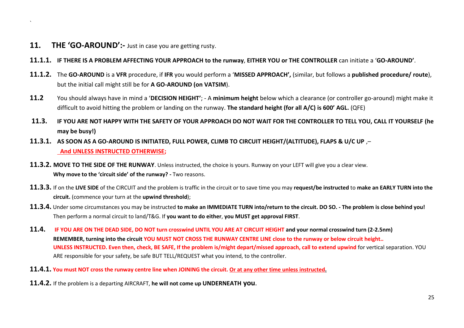**11. THE 'GO-AROUND':-** Just in case you are getting rusty.

`

- **11.1.1. IF THERE IS A PROBLEM AFFECTING YOUR APPROACH to the runway**, **EITHER YOU or THE CONTROLLER** can initiate a '**GO-AROUND'**.
- **11.1.2.** The **GO-AROUND** is a **VFR** procedure, if **IFR** you would perform a '**MISSED APPROACH',** (similar, but follows a **published procedure/ route**), but the initial call might still be for **A GO-AROUND (on VATSIM**).
- **11.2** You should always have in mind a '**DECISION HEIGHT'**; A **minimum height** below which a clearance (or controller go-around) might make it difficult to avoid hitting the problem or landing on the runway. **The standard height (for all A/C) is 600' AGL.** (QFE)
- **11.3. IF YOU ARE NOT HAPPY WITH THE SAFETY OF YOUR APPROACH DO NOT WAIT FOR THE CONTROLLER TO TELL YOU, CALL IT YOURSELF (he may be busy!)**
- **11.3.1. AS SOON AS A GO-AROUND IS INITIATED, FULL POWER, CLIMB TO CIRCUIT HEIGHT/(ALTITUDE), FLAPS & U/C UP** ,– **And UNLESS INSTRUCTED OTHERWISE;**
- **11.3.2. MOVE TO THE SIDE OF THE RUNWAY**. Unless instructed, the choice is yours. Runway on your LEFT will give you a clear view. **Why move to the 'circuit side' of the runway? -** Two reasons.
- **11.3.3.** If on the **LIVE SIDE** of the CIRCUIT and the problem is traffic in the circuit or to save time you may **request/be instructed** to **make an EARLY TURN into the circuit.** (commence your turn at the **upwind threshold**);
- **11.3.4.** Under some circumstances you may be instructed **to make an IMMEDIATE TURN into/return to the circuit. DO SO. - The problem is close behind you!**  Then perform a normal circuit to land/T&G. If **you want to do either**, **you MUST get approval FIRST**.
- **11.4. IF YOU ARE ON THE DEAD SIDE, DO NOT turn crosswind UNTIL YOU ARE AT CIRCUIT HEIGHT and your normal crosswind turn (2-2.5nm) REMEMBER, turning into the circuit YOU MUST NOT CROSS THE RUNWAY CENTRE LINE close to the runway or below circuit height.. UNLESS INSTRUCTED. Even then, check, BE SAFE, If the problem is/might depart/missed approach, call to extend upwind** for vertical separation. YOU ARE responsible for your safety, be safe BUT TELL/REQUEST what you intend, to the controller.
- **11.4.1. You must NOT cross the runway centre line when JOINING the circuit. Or at any other time unless instructed.**
- **11.4.2.** If the problem is a departing AIRCRAFT, **he will not come up UNDERNEATH you**.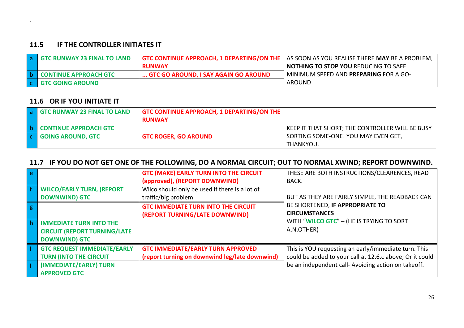#### **11.5 IF THE CONTROLLER INITIATES IT**

| <b>a</b> GTC RUNWAY 23 FINAL TO LAND |                                      | <b>GTC CONTINUE APPROACH, 1 DEPARTING/ON THE   AS SOON AS YOU REALISE THERE MAY BE A PROBLEM,</b> |
|--------------------------------------|--------------------------------------|---------------------------------------------------------------------------------------------------|
|                                      | <b>RUNWAY</b>                        | <b>NOTHING TO STOP YOU REDUCING TO SAFE</b>                                                       |
| b CONTINUE APPROACH GTC              | GTC GO AROUND, I SAY AGAIN GO AROUND | MINIMUM SPEED AND PREPARING FOR A GO-                                                             |
| <b>C</b> GTC GOING AROUND            |                                      | AROUND                                                                                            |

#### **11.6 OR IF YOU INITIATE IT**

`

|        | <b>a</b> GTC RUNWAY 23 FINAL TO LAND | <b>GTC CONTINUE APPROACH, 1 DEPARTING/ON THE</b><br><b>RUNWAY</b> |                                                 |
|--------|--------------------------------------|-------------------------------------------------------------------|-------------------------------------------------|
|        | <b>CONTINUE APPROACH GTC</b>         |                                                                   | KEEP IT THAT SHORT; THE CONTROLLER WILL BE BUSY |
| $\sim$ | <b>GOING AROUND, GTC</b>             | <b>GTC ROGER, GO AROUND</b>                                       | SORTING SOME-ONE! YOU MAY EVEN GET,             |
|        |                                      |                                                                   | THANKYOU.                                       |

## **11.7 IF YOU DO NOT GET ONE OF THE FOLLOWING, DO A NORMAL CIRCUIT; OUT TO NORMAL XWIND; REPORT DOWNWIND.**

|                                                                                               | <b>GTC (MAKE) EARLY TURN INTO THE CIRCUIT</b><br>(approved), (REPORT DOWNWIND)             | THESE ARE BOTH INSTRUCTIONS/CLEARENCES, READ<br>BACK.                                                            |
|-----------------------------------------------------------------------------------------------|--------------------------------------------------------------------------------------------|------------------------------------------------------------------------------------------------------------------|
| <b>WILCO/EARLY TURN, (REPORT</b><br><b>DOWNWIND) GTC</b>                                      | Wilco should only be used if there is a lot of<br>traffic/big problem                      | BUT AS THEY ARE FAIRLY SIMPLE, THE READBACK CAN                                                                  |
|                                                                                               | <b>GTC IMMEDIATE TURN INTO THE CIRCUIT</b><br>(REPORT TURNING/LATE DOWNWIND)               | BE SHORTENED, IF APPROPRIATE TO<br><b>CIRCUMSTANCES</b>                                                          |
| <b>IMMEDIATE TURN INTO THE</b><br><b>CIRCUIT (REPORT TURNING/LATE</b><br><b>DOWNWIND) GTC</b> |                                                                                            | WITH "WILCO GTC" - (HE IS TRYING TO SORT<br>A.N.OTHER)                                                           |
| <b>GTC REQUEST IMMEDIATE/EARLY</b><br><b>TURN (INTO THE CIRCUIT</b>                           | <b>GTC IMMEDIATE/EARLY TURN APPROVED</b><br>(report turning on downwind leg/late downwind) | This is YOU requesting an early/immediate turn. This<br>could be added to your call at 12.6.c above; Or it could |
| (IMMEDIATE/EARLY) TURN<br><b>APPROVED GTC</b>                                                 |                                                                                            | be an independent call- Avoiding action on takeoff.                                                              |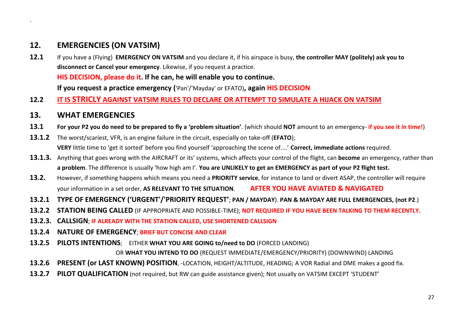## **12. EMERGENCIES (ON VATSIM)**

`

- **12.1** If you have a (Flying) **EMERGENCY ON VATSIM** and you declare it, if his airspace is busy, **the controller MAY (politely) ask you to disconnect or Cancel your emergency**. Likewise, if you request a practice. **HIS DECISION, please do it. If he can, he will enable you to continue. If you request a practice emergency (**'Pan'/'Mayday' or EFATO)**, again HIS DECISION**
- **12.2 IT IS STRICLY AGAINST VATSIM RULES TO DECLARE OR ATTEMPT TO SIMULATE A HIJACK ON VATSIM**
- **13. WHAT EMERGENCIES**
- **13.1 For your P2 you do need to be prepared to fly a 'problem situation'**. (which should **NOT** amount to an emergency- **if you see it in time!**)
- **13.1.2** The worst/scariest, VFR, is an engine failure in the circuit, especially on take-off (**EFATO**); **VERY** little time to 'get it sorted' before you find yourself 'approaching the scene of....' **Correct, immediate actions** required.
- **13.1.3.** Anything that goes wrong with the AIRCRAFT or its' systems, which affects your control of the flight, can **become** an emergency, rather than **a problem**. The difference is usually 'how high am I'. **You are UNLIKELY to get an EMERGENCY as part of your P2 flight test.**
- **13.2.** However, if something happens which means you need a **PRIORITY service**, for instance to land or divert ASAP, the controller will require your information in a set order, **AS RELEVANT TO THE SITUATION**. **AFTER YOU HAVE AVIATED & NAVIGATED**
- **13.2.1 TYPE OF EMERGENCY ('URGENT'/'PRIORITY REQUEST'**; **PAN / MAYDAY**). **PAN & MAYDAY ARE FULL EMERGENCIES, (not P2**.)
- **13.2.2 STATION BEING CALLED** (IF APPROPRIATE AND POSSIBLE-TIME); **NOT REQUIRED IF YOU HAVE BEEN TALKING TO THEM RECENTLY.**
- **13.2.3. CALLSIGN**; **IF ALREADY WITH THE STATION CALLED, USE SHORTENED CALLSIGN**
- **13.2.4 NATURE OF EMERGENCY**; **BRIEF BUT CONCISE AND CLEAR**
- **13.2.5 PILOTS INTENTIONS**; EITHER **WHAT YOU ARE GOING to/need to DO** (FORCED LANDING)

OR **WHAT YOU INTEND TO DO** (REQUEST IMMEDIATE/EMERGENCY/PRIORITY) (DOWNWIND) LANDING

- **13.2.6 PRESENT (or LAST KNOWN) POSITION**, -LOCATION, HEIGHT/ALTITUDE, HEADING; A VOR Radial and DME makes a good fix.
- **13.2.7 PILOT QUALIFICATION** (not required, but RW can guide assistance given); Not usually on VATSIM EXCEPT 'STUDENT'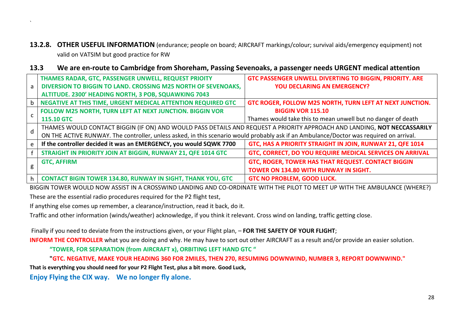**13.2.8. OTHER USEFUL INFORMATION** (endurance; people on board; AIRCRAFT markings/colour; survival aids/emergency equipment) not valid on VATSIM but good practice for RW

#### **13.3 We are en-route to Cambridge from Shoreham, Passing Sevenoaks, a passenger needs URGENT medical attention**

| a            | <b>THAMES RADAR, GTC, PASSENGER UNWELL, REQUEST PRIOITY</b>                                                                             | GTC PASSENGER UNWELL DIVERTING TO BIGGIN, PRIORITY. ARE      |  |
|--------------|-----------------------------------------------------------------------------------------------------------------------------------------|--------------------------------------------------------------|--|
|              | DIVERSION TO BIGGIN TO LAND. CROSSING M25 NORTH OF SEVENOAKS,                                                                           | <b>YOU DECLARING AN EMERGENCY?</b>                           |  |
|              | ALTITUDE. 2300' HEADING NORTH, 3 POB, SQUAWKING 7043                                                                                    |                                                              |  |
|              | NEGATIVE AT THIS TIME, URGENT MEDICAL ATTENTION REQUIRED GTC                                                                            | GTC ROGER, FOLLOW M25 NORTH, TURN LEFT AT NEXT JUNCTION.     |  |
| C            | FOLLOW M25 NORTH, TURN LEFT AT NEXT JUNCTION. BIGGIN VOR                                                                                | <b>BIGGIN VOR 115.10</b>                                     |  |
|              | <b>115.10 GTC</b>                                                                                                                       | Thames would take this to mean unwell but no danger of death |  |
| $\mathsf{d}$ | THAMES WOULD CONTACT BIGGIN (IF ON) AND WOULD PASS DETAILS AND REQUEST A PRIORITY APPROACH AND LANDING, NOT NECCASSARILY                |                                                              |  |
|              | ON THE ACTIVE RUNWAY. The controller, unless asked, in this scenario would probably ask if an Ambulance/Doctor was required on arrival. |                                                              |  |
|              | If the controller decided it was an EMERGENCY, you would SQWK 7700                                                                      | GTC, HAS A PRIORITY STRAIGHT IN JOIN, RUNWAY 21, QFE 1014    |  |
|              | STRAIGHT IN PRIORITY JOIN AT BIGGIN, RUNWAY 21, QFE 1014 GTC                                                                            | GTC, CORRECT, DO YOU REQUIRE MEDICAL SERVICES ON ARRIVAL     |  |
| g            | <b>GTC, AFFIRM</b>                                                                                                                      | GTC, ROGER, TOWER HAS THAT REQUEST. CONTACT BIGGIN           |  |
|              |                                                                                                                                         | TOWER ON 134.80 WITH RUNWAY IN SIGHT.                        |  |
|              | <b>CONTACT BIGIN TOWER 134.80, RUNWAY IN SIGHT, THANK YOU, GTC</b>                                                                      | <b>GTC NO PROBLEM, GOOD LUCK.</b>                            |  |

BIGGIN TOWER WOULD NOW ASSIST IN A CROSSWIND LANDING AND CO-ORDINATE WITH THE PILOT TO MEET UP WITH THE AMBULANCE (WHERE?) These are the essential radio procedures required for the P2 flight test,

If anything else comes up remember, a clearance/instruction, read it back, do it.

Traffic and other information (winds/weather) acknowledge, if you think it relevant. Cross wind on landing, traffic getting close.

Finally if you need to deviate from the instructions given, or your Flight plan, – **FOR THE SAFETY OF YOUR FLIGHT**;

**INFORM THE CONTROLLER** what you are doing and why. He may have to sort out other AIRCRAFT as a result and/or provide an easier solution.

**"TOWER, FOR SEPARATION (from AIRCRAFT x), ORBITING LEFT HAND GTC "** 

**"GTC. NEGATIVE, MAKE YOUR HEADING 360 FOR 2MILES, THEN 270, RESUMING DOWNWIND, NUMBER 3, REPORT DOWNWIND."**

**That is everything you should need for your P2 Flight Test, plus a bit more. Good Luck,** 

**Enjoy Flying the CIX way. We no longer fly alone.**

`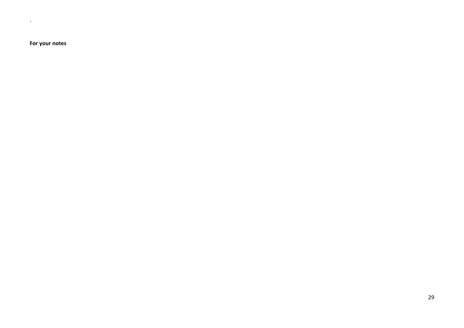**For your notes**

 $\Delta_{\rm{max}}$